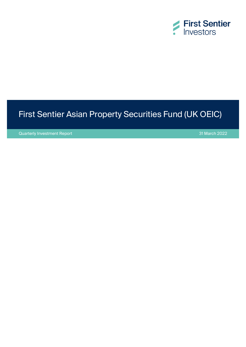

# First Sentier Asian Property Securities Fund (UK OEIC)

Quarterly Investment Report 31 March 2022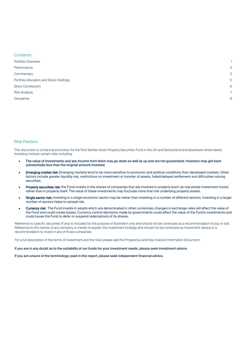| <b>Contents</b>                         |                |
|-----------------------------------------|----------------|
| Portfolio Overview                      |                |
| Performance                             | $\overline{2}$ |
| Commentary                              | 3              |
| Portfolio Allocation and Stock Holdings | 5              |
| <b>Stock Contribution</b>               | 6              |
| <b>Risk Analysis</b>                    | 7              |
| <b>Disclaimer</b>                       | 8              |
|                                         |                |

### Risk Factors

This document is a financial promotion for the First Sentier Asian Property Securities Fund in the UK and Switzerland and elsewhere where lawful. Investing involves certain risks including:

- The value of investments and any income from them may go down as well as up and are not guaranteed. Investors may get back substantially less than the original amount invested.
- **Emerging market risk:** Emerging markets tend to be more sensitive to economic and political conditions than developed markets. Other factors include greater liquidity risk, restrictions on investment or transfer of assets, failed/delayed settlement and difficulties valuing securities.
- Property securities risk: the Fund invests in the shares of companies that are involved in property (such as real estate investment trusts) rather than in property itself. The value of these investments may fluctuate more than the underlying property assets.
- Single sector risk: investing in a single economic sector may be riskier than investing in a number of different sectors. Investing in a larger number of sectors helps to spread risk.
- Currency risk: The Fund invests in assets which are denominated in other currencies; changes in exchange rates will affect the value of the Fund and could create losses. Currency control decisions made by governments could affect the value of the Fund's investments and could cause the Fund to defer or suspend redemptions of its shares.

Reference to specific securities (if any) is included for the purpose of illustration only and should not be construed as a recommendation to buy or sell. Reference to the names of any company is merely to explain the investment strategy and should not be construed as investment advice or a recommendation to invest in any of those companies.

For a full description of the terms of investment and the risks please see the Prospectus and Key Investor Information Document.

If you are in any doubt as to the suitability of our funds for your investment needs, please seek investment advice.

If you are unsure of the terminology used in this report, please seek independent financial advice.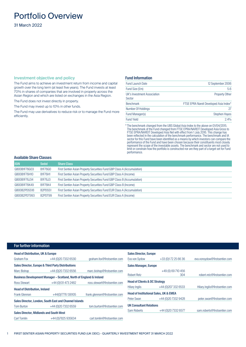## <span id="page-2-0"></span>Portfolio Overview

31 March 2022

### Investment objective and policy

The Fund aims to achieve an investment return from income and capital growth over the long term (at least five years). The Fund invests at least 70% in shares of companies that are involved in property across the Asian Region and which are listed on exchanges in the Asia Region.

The Fund does not invest directly in property.

The Fund may invest up to 10% in other funds.

The Fund may use derivatives to reduce risk or to manage the Fund more efficiently.

### Fund Information

| <b>Fund Launch Date</b>               | 12 September 2006                      |
|---------------------------------------|----------------------------------------|
| Fund Size (£m)                        | 5.6                                    |
| UK's Investment Association<br>Sector | <b>Property Other</b>                  |
| <b>Benchmark</b>                      | FTSE EPRA Nareit Developed Asia Index* |
| Number Of Holdings                    | 27                                     |
| Fund Manager(s)                       | <b>Stephen Hayes</b>                   |
| <b>Fund Yield</b>                     | 2.4%                                   |

\* The benchmark changed from the UBS Global Asia Index to the above on 01/04/2015. The benchmark of the Fund changed from FTSE EPRA/NAREIT Developed Asia Gross to FTSE EPRA/NAREIT Developed Asia Net with effect from 1 July 2016. This change has been reflected in the calculation of the benchmark performance. The benchmark and IA sector for this Fund have been identified as a means by which investors can compare the performance of the Fund and have been chosen because their constituents most closely represent the scope of the investable assets. The benchmark and sector are not used to limit or constrain how the portfolio is constructed nor are they part of a target set for Fund performance.

### Available Share Classes

| <b>ISIN</b>  | <b>Sedol</b>                     | <b>Share Class</b>                                                      |
|--------------|----------------------------------|-------------------------------------------------------------------------|
| GB00B1F76G03 | B1F76G0                          | First Sentier Asian Property Securities Fund GBP Class A (Accumulation) |
| GB00B1F76H10 | <b>B1F76H1</b>                   | First Sentier Asian Property Securities Fund GBP Class A (Income)       |
| GB00B1F76J34 | B1F76J3                          | First Sentier Asian Property Securities Fund GBP Class B (Accumulation) |
| GB00B1F76K49 | <b>B1F76K4</b>                   | First Sentier Asian Property Securities Fund GBP Class B (Income)       |
| GB00B2PDSS18 | B <sub>2</sub> PDSS <sub>1</sub> | First Sentier Asian Property Securities Fund EUR Class A (Accumulation) |
| GB00B2PDT993 | B <sub>2</sub> PDT99             | First Sentier Asian Property Securities Fund EUR Class A (Income)       |

### For further information

| <b>Head of Distribution, UK &amp; Europe</b>   |                                                                     |                                | <b>Sales Director, Europe</b>            |                                                   |                                |
|------------------------------------------------|---------------------------------------------------------------------|--------------------------------|------------------------------------------|---------------------------------------------------|--------------------------------|
| Graham Fox                                     | +44 (0) 20 7332 6530                                                | graham.fox@firstsentier.com    | Eva von Sydow                            | +33 (0)172 25 66 36                               | eva.vonsydow@firstsentier.com  |
|                                                | <b>Sales Director, Europe &amp; Third Party Distributions</b>       |                                | <b>Sales Manager, Europe</b>             |                                                   |                                |
| Marc Bishop                                    | +44 (0) 20 7332 6556                                                | marc.bishop@firstsentier.com   |                                          | +49 (0) 69 710 456                                |                                |
|                                                | Business Development Manager - Scotland, North of England & Ireland |                                | <b>Robert Retz</b>                       | 304                                               | robert.retz@firstsentier.com   |
| <b>Ross Stewart</b>                            | +44 (0)131 473 2482                                                 | ross.stewart@firstsentier.com  | <b>Head of Clients &amp; DC Strategy</b> |                                                   |                                |
| <b>Head of Distribution, Ireland</b>           |                                                                     |                                | <b>Hilary Inglis</b>                     | +44 (0) 207 332 6533                              | Hilary.Inglis@firstsentier.com |
| <b>Frank Glennon</b>                           | +44(0)7776 138105                                                   | frank.glennon@firstsentier.com |                                          | <b>Head of Institutional Sales, UK &amp; EMEA</b> |                                |
|                                                | Sales Director, London, South East and Channel Islands              |                                | Peter Swan                               | +44 (0) 20 7332 9428                              | peter.swan@firstsentier.com    |
| <b>Tom Burton</b>                              | +44 (0) 20 7332 6559                                                | tom.burton@firstsentier.com    | <b>UK Consultant Relations</b>           |                                                   |                                |
| <b>Sales Director, Midlands and South West</b> |                                                                     |                                | Sam Roberts                              | +44 (0) 20 7332 6577                              | sam.roberts@firstsentier.com   |
| Carl Tomlin                                    | +44 (0) 7825 935634                                                 | carl.tomlin@firstsentier.com   |                                          |                                                   |                                |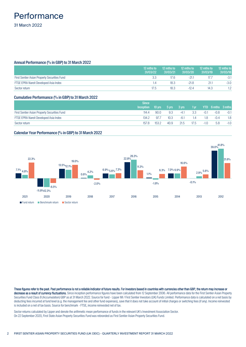## <span id="page-3-0"></span>**Performance** 31 March 2022

### Annual Performance (% in GBP) to 31 March 2022

|                                              | 12 mths to<br>31/03/22 | 12 mths to<br>31/03/21 | 12 mths to<br>31/03/20 | 12 mths to<br>31/03/19 | 12 mths to<br>31/03/18 |
|----------------------------------------------|------------------------|------------------------|------------------------|------------------------|------------------------|
| First Sentier Asian Property Securities Fund | 3.3                    | 17.6                   |                        |                        | $-3.1$                 |
| FTSE EPRA Nareit Developed Asia Index        | 1.4                    | 18.3                   | $-21.8$                | 21.1                   | $-3.0$                 |
| Sector return                                | 17.5                   | 18.3                   | $-12.4$                | 14.3                   |                        |

### Cumulative Performance (% in GBP) to 31 March 2022

|                                              | <b>Since</b>     |                  |                    |        |      |        |                          |        |
|----------------------------------------------|------------------|------------------|--------------------|--------|------|--------|--------------------------|--------|
|                                              | <b>Inception</b> | $10 \text{ yrs}$ | $7.5 \,$ yrs $7.5$ | 3 vrs  | 1 yr |        | <b>YTD</b> 6 mths 3 mths |        |
| First Sentier Asian Property Securities Fund | 114.4            | 90.0             | 9.3                | $-4.1$ | 3.3  | $-0.1$ | $-0.8$                   | $-0.1$ |
| FTSE EPRA Nareit Developed Asia Index        | 134.2            | 97.              | 10.3               | -6.1   | .4   | .8     | $-0.4$                   | 1.8    |
| Sector return                                | 157.8            | 153.2            | 40.9               | 21.5   | 17.5 | $-1.0$ | 5.8                      | $-1.0$ |

### Calendar Year Performance (% in GBP) to 31 March 2022



These figures refer to the past. Past performance is not a reliable indicator of future results. For investors based in countries with currencies other than GBP, the return may increase or decrease as a result of currency fluctuations. Since inception performance figures have been calculated from 12 September 2006. All performance data for the First Sentier Asian Property Securities Fund Class B (Accumulation) GBP as at 31 March 2022. Source for fund - Lipper IM / First Sentier Investors (UK) Funds Limited. Performance data is calculated on a net basis by deducting fees incurred at fund level (e.g. the management fee and other fund expenses), save that it does not take account of initial charges or switching fees (if any). Income reinvested is included on a net of tax basis. Source for benchmark - FTSE, income reinvested net of tax.

Sector returns calculated by Lipper and denote the arithmetic mean performance of funds in the relevant UK's Investment Association Sector. On 22 September 2020, First State Asian Property Securities Fund was rebranded as First Sentier Asian Property Securities Fund.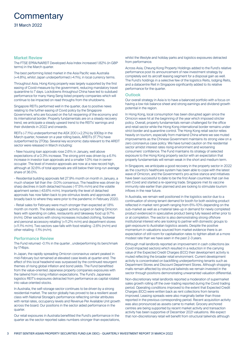## <span id="page-4-0"></span>**Commentary**

### Market Review

The FTSE EPRA/NAREIT Developed Asia Index increased 1.82% (in GBP terms) in the March quarter.

The best performing listed market in the Asia Pacific was Australia (+4.8%), whilst Japan underperformed (-4.1%), in local currency terms.

Throughout Asia, Hong Kong property was largely supported by the first easing of Covid-measure by the government, reducing mandatory travel quarantine to 7 days. Lockdowns throughout China have led to subdued performance for many Hang Seng listed property companies which will continue to be impacted on read throughs from the shutdowns.

Singapore REITs performed well in the quarter, due to positive news relating to the further easing of Covid policy by the Singapore Government, who are focused on the full reopening of the economy and its international border. Property fundamentals are on a steady recovery trend, we anticipate a steady upward trend to the REITs' earnings and their dividends in 2022 and onwards.

REITs (-7.1%) underperformed the ASX 200 (+2.2%) by 930bp in the March quarter, however on a year rolling basis, AREITs (17.7%) have outperformed by 270bp. Several key economic data relevant to the AREIT sector were released in March including:

- New housing loan approvals rose 2.6% in January, well above expectations of a 0.3% increase. The strong print was driven by a 6.1% increase in investor loan approvals and a smaller 1.0% rise in owneroccupier. The level of investor approvals are now at a new record high, although at 32.6% of total approvals are still below their long-run average share of 36.0%.

- Residential building approvals fell 27.9% month on month in January, a much sharper fall than the -3.0% consensus. The headline was driven by sharp declines in both detached houses (-17.5% m/m) and the volatile apartment series (-43.6% m/m). Importantly the level of detached approvals has now fallen back to pre-stimulus levels and approvals are broadly back to where they were prior to the pandemic in February 2020.

- Retail sales for February were much stronger than expected at 1.8% month on month. The details suggest activity surged on fading Omicron fears with spending on cafes, restaurants and takeaway food up 9.7% (m/m). Other sectors with strong increases included clothing, footwear and personal accessory retailing' (+11.2% m/m) and department stores (+11.1% m/m). Two sectors saw falls with food retailing -2.6% (m/m) and other retailing -1.1% (m/m).

### Performance Review

The Fund returned -0.1% in the quarter , underperforming its benchmark by 174bps.

In Japan, the rapidly spreading Omicron coronavirus variant peaked in mid-February but remained at elevated case levels at quarter-end. The effect of this local headwind was surpassed by the continued resurgent themes of rising global inflation and bond yields. The Fund benefitted from the value-oriented Japanese property companies exposures with the tailwind from rising inflation expectations. The Fund's Japanese logistics REIT's exposures detracted from performance as capital rotated into value oriented stocks.

In Australia, the self-storage sector continues to be driven by a strong residential market. The sector globally has proved to be a resilient asset class with National Storage's performance reflecting similar attributes with rental rates, occupancy levels and Revenue Per Available Unit growth across the board. Our positions in the sector aided performance in the quarter.

Our retail exposures in Australia benefitted the Fund's performance in the quarter as the sector reported sales numbers stronger than expectations,

whilst the lifestyle and holiday parks and logistics exposures detracted from performance.

Across Asia, Cheung Kong Property Holdings added to the Fund's relative performance post its announcement of new investment strategy by completely exit its aircraft leasing segment for a disposal gain as well. The Fund's holdings in a selective few of the logistics Reits, lodging Reits, and a datacentre Reit in Singapore significantly added to its relative performance for the quarter.

### **Outlook**

Our overall strategy in Asia is to have a balanced portfolio with a focus on having a low risk balance sheet and strong earnings and dividend growth potential in the region.

In Hong Kong, local consumption has been disrupted again since the Omicron wave hit at the beginning of the year which imposed stricter policy. Overall, property fundamentals remain challenged for the office and retail sector while the Hong Kong international border remains under strict border and quarantine control. The Hong Kong retail sector relies heavily on tourism, especially from mainland China where we see muted improvements as the Chinese Government maintains its strong view on a zero coronavirus case policy. We have turned caution on the residential sector amidst interest rates rising environment and worsening consumers' confidence. The Fund maintains its strategy of selected exposure to the Hong Kong property sector with an expectation that property fundamentals will remain weak in the short and medium term.

In Singapore, we anticipate a good recovery in the property sector in 2022 as the country's healthcare system has been able to cope with the latest wave of Omicron, and the Government's pro-active stance and initiatives have been successful to date to be the first Asian countries that can live with Covid and started a re-opening trade. Singapore met its vaccine immunity rate earlier than planned and are looking to stimulate tourism inflows in the near future.

In Australia, we remain well positioned in the logistics sector due to a continuation of strong tenant demand for booth for both existing product reflected in market rent growth ranging from 6%-10% depending on the sub-market as well as a material take-up in demand for newly completed product evidenced in speculative product being fully leased either prior to or at completion. The sector is also demonstrating strong offshore institutional interest who are looking to partner with domestic groups to gain exposure to Australian logistics assets. Despite the positive momentum in valuations sourced from market evidence there is an expectation of still room for capitalisation rates to tighten albeit at a more modest rate than we have seen in the past 2-3 years.

Although mall landlords reported an improvement in cash collections (ex Covid impacted sectors) which resulted in a reduction in the carrying value of the Expected Credit Charges (ECC) their development activity is muted reflecting the broader retail environment. Current development activity is concentrated on backfilling underperforming tenants such as Department Stores and Discount Department Stores. Although shopping malls remain affected by structural tailwinds we remain invested in the sector through positions demonstrating unwarranted valuation differential.

Non-discretionary retail landlords reported a moderation of supermarket sales growth rolling off the over-trading reported during the Covid trading period. Operating conditions improved to the extent that Expected Credit Charges (ECC) were written back as rent collections from tenants improved. Leasing spreads were also marginally better than those reported in the previous corresponding period. Recent acquisition activity was also pronounced as assets came to market. Grocery anchored centres are being supported by recent market activity and transaction activity has been supportive of December 2021 valuations. We expect that non-discretionary retail will benefit from structural tailwinds although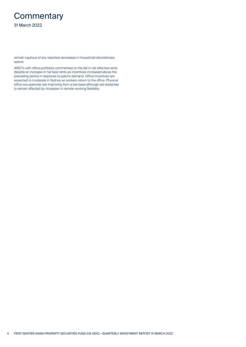# **Commentary**

31 March 2022

remain cautious of any reported decreases in household discretionary spend.

AREITs with office portfolios commented on the fall in net effective rents despite an increase in net face rents as incentives increased above the preceding period in response to patchy demand. Office incentives are expected to moderate in Sydney as workers return to the office. Physical office occupancies are improving from a low base although are expected to remain affected by increases in remote working flexibility.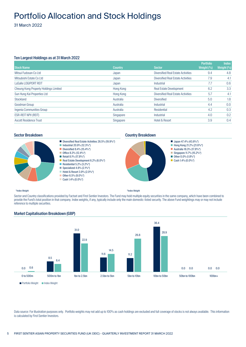## <span id="page-6-0"></span>Portfolio Allocation and Stock Holdings

31 March 2022

### Ten Largest Holdings as at 31 March 2022

|                                       |                |                                           | <b>Portfolio</b>                  | <b>Index</b> |
|---------------------------------------|----------------|-------------------------------------------|-----------------------------------|--------------|
| <b>Stock Name</b>                     | <b>Country</b> | <b>Sector</b>                             | Weight $\left(\frac{0}{0}\right)$ | Weight $(%)$ |
| Mitsui Fudosan Co Ltd                 | Japan          | <b>Diversified Real Estate Activities</b> | 9.4                               | 4.8          |
| Mitsubishi Estate Co Ltd              | Japan          | <b>Diversified Real Estate Activities</b> | 7.9                               | 4.1          |
| <b>LaSalle LOGIPORT REIT</b>          | Japan          | Industrial                                | 7.7                               | 0.6          |
| Cheung Kong Property Holdings Limited | Hong Kong      | <b>Real Estate Development</b>            | 6.2                               | 3.3          |
| Sun Hung Kai Properties Ltd           | Hong Kong      | Diversified Real Estate Activities        | 5.7                               | 4.1          |
| Stockland                             | Australia      | <b>Diversified</b>                        | 5.0                               | 1.8          |
| Goodman Group                         | Australia      | Industrial                                | 4.4                               | 0.0          |
| Ingenia Communities Group             | Australia      | Residential                               | 4.2                               | 0.3          |
| <b>ESR-REIT NPV (REIT)</b>            | Singapore      | Industrial                                | 4.0                               | 0.2          |
| Ascott Residence Trust                | Singapore      | Hotel & Resort                            | 3.9                               | 0.4          |



### Sector Breakdown **Country Breakdown Country Breakdown**



### \*Index Weight

\*Index Weight

Sector and Country classifications provided by Factset and First Sentier Investors. The Fund may hold multiple equity securities in the same company, which have been combined to provide the Fund's total position in that company. Index weights, if any, typically include only the main domestic-listed security. The above Fund weightings may or may not include reference to multiple securities.



### Market Capitalisation Breakdown (GBP)

Data source: For illustration purposes only. Portfolio weights may not add up to 100% as cash holdings are excluded and full coverage of stocks is not always available. This information is calculated by First Sentier Investors.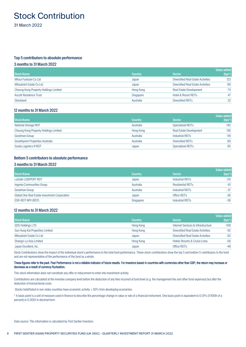## <span id="page-7-0"></span>Stock Contribution

31 March 2022

### Top 5 contributors to absolute performance

### 3 months to 31 March 2022

| <b>Stock Name</b>                     | <b>Country</b> | <b>Sector</b>                             | Value added<br>$(bps^*)$ |
|---------------------------------------|----------------|-------------------------------------------|--------------------------|
| Mitsui Fudosan Co Ltd                 | Japan          | <b>Diversified Real Estate Activities</b> | 123                      |
| Mitsubishi Estate Co Ltd              | Japan          | <b>Diversified Real Estate Activities</b> | 89                       |
| Cheung Kong Property Holdings Limited | Hong Kong      | <b>Real Estate Development</b>            | 74                       |
| <b>Ascott Residence Trust</b>         | Singapore      | <b>Hotel &amp; Resort REITs</b>           | 47                       |
| Stockland                             | Australia      | Diversified REITs                         | 32                       |

### 12 months to 31 March 2022

|                                         |                |                                | Value added |
|-----------------------------------------|----------------|--------------------------------|-------------|
| <b>Stock Name</b>                       | <b>Country</b> | <b>Sector</b>                  | $(bps^*)$   |
| <b>National Storage REIT</b>            | Australia      | Specialized REITs              | 145         |
| Cheung Kong Property Holdings Limited   | Hong Kong      | <b>Real Estate Development</b> | 136         |
| Goodman Group                           | Australia      | Industrial REITs               | 118         |
| <b>Growthpoint Properties Australia</b> | Australia      | Diversified REITs              | 89          |
| Sosila Logistics R REIT                 | Japan          | Specialized REITs              | 85          |

### Bottom 5 contributors to absolute performance

### 3 months to 31 March 2022

|                                               |                |                          | <b>Value added</b> |
|-----------------------------------------------|----------------|--------------------------|--------------------|
| <b>Stock Name</b>                             | <b>Country</b> | <b>Sector</b>            | $(bps^*)$          |
| LaSalle LOGIPORT REIT                         | Japan          | <b>Industrial REITs</b>  | $-131$             |
| Ingenia Communities Group                     | Australia      | <b>Residential REITs</b> | $-61$              |
| Goodman Group                                 | Australia      | Industrial REITs         | $-37$              |
| Global One Real Estate Investment Corporation | Japan          | Office REIT <sub>S</sub> | $-36$              |
| ESR-REIT NPV (REIT)                           | Singapore      | Industrial REITs         | $-36$              |

### 12 months to 31 March 2022

| <b>Stock Name</b>               | <b>Country</b> | <b>Sector</b>                             | Value added<br>$(bps^*)$ |
|---------------------------------|----------------|-------------------------------------------|--------------------------|
| <b>GDS Holdings LTD</b>         | Hong Kong      | Internet Services & Infrastructure        | $-108$                   |
| Sun Hung Kai Properties Limited | Hong Kong      | <b>Diversified Real Estate Activities</b> | $-92$                    |
| Mitsubishi Estate Co Ltd        | Japan          | <b>Diversified Real Estate Activities</b> | $-82$                    |
| Shangri-La Asia Limited         | Hong Kong      | <b>Hotels Resorts &amp; Cruise Lines</b>  | $-58$                    |
| Japan Excellent, Inc.           | Japan          | Office REIT <sub>S</sub>                  | $-48$                    |

Stock Contributions show the impact of the individual stock's performance to the total fund performance. These stock contributions show the top 5 and bottom 5 contributors to the fund and are not representative of the performance of the fund as a whole.

### These figures refer to the past. Past Performance is not a reliable indicator of future results. For investors based in countries with currencies other than GBP, the return may increase or decrease as a result of currency fluctuation.

This stock information does not constitute any offer or inducement to enter into investment activity.

Contributions are calculated at the investee company level before the deduction of any fees incurred at fund level (e.g. the management fee and other fund expenses) but after the deduction of transactional costs.

Stocks held/listed in non-index countries have economic activity > 50% from developing economies.

\* A basis point is a unit of measure used in finance to describe the percentage change in value or rate of a financial instrument. One basis point is equivalent to 0.01% (1/100th of a percent) or 0.0001 in decimal form.

Data source: This information is calculated by First Sentier Investors.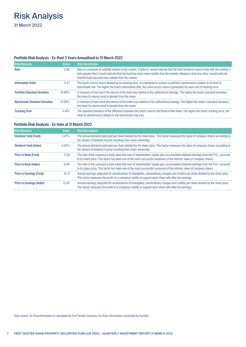# <span id="page-8-0"></span>Risk Analysis

31 March 2022

### Portfolio Risk Analysis - Ex-Post 3 Years Annualised to 31 March 2022

| <b>Risk Measure</b>                 | Value     | <b>Risk Description</b>                                                                                                                                                                                                                                                                                                                   |
|-------------------------------------|-----------|-------------------------------------------------------------------------------------------------------------------------------------------------------------------------------------------------------------------------------------------------------------------------------------------------------------------------------------------|
| <b>Beta</b>                         | 0.96      | Beta is a measure of volatility relative to the market. A beta of 1 would indicate that the fund tended to move in line with the market; a<br>beta greater than 1 would indicate that the fund has been more volatile than the market; whereas a beta less than 1 would indicate<br>that the fund has been less volatile than the market. |
| <b>Information Ratio</b>            | 0.37      | The fund's excess return divided by its tracking error. It is designed to assess a portfolio's performance relative to its level of<br>benchmark risk. The higher the fund's information ratio, the more excess return it generates for each unit of tracking error.                                                                      |
| <b>Portfolio Standard Deviation</b> | 14.98%    | A measure of how much the returns of the fund vary relative to the arithmetical average. The higher the fund's standard deviation,<br>the more its returns tend to deviate from the mean.                                                                                                                                                 |
| <b>Benchmark Standard Deviation</b> | $15.08\%$ | A measure of how much the returns of the index vary relative to the arithmetical average. The higher the index's standard deviation,<br>the more its returns tend to deviate from the mean.                                                                                                                                               |
| <b>Tracking Error</b>               | $4.14\%$  | The standard deviation of the difference between the fund's returns and those of the index. The higher the fund's tracking error, the<br>more its performance relative to the benchmark may vary.                                                                                                                                         |

### Portfolio Risk Analysis - Ex-Ante at 31 March 2022

| <b>Risk Measure</b>       | <b>Value</b> | <b>Risk Description</b>                                                                                                                                                                                                                                     |
|---------------------------|--------------|-------------------------------------------------------------------------------------------------------------------------------------------------------------------------------------------------------------------------------------------------------------|
| Dividend Yield (Fund)     | 3.47%        | The annual dividend yield paid per share divided by the share price. This factor measures the value of company shares according to<br>the stream of dividend income resulting from share ownership.                                                         |
| Dividend Yield (Index)    | 4.04%        | The annual dividend yield paid per share divided by the share price. This factor measures the value of company shares according to<br>the stream of dividend income resulting from share ownership.                                                         |
| Price to Book (Fund)      | 0.94         | The ratio of the company's book value (the sum of shareholders' equity plus accumulated retained earnings from the P & L account)<br>to its share price. This factor has been one of the most successful measures of the intrinsic value of company shares. |
| Price to Book (Index)     | 0.90         | The ratio of the company's book value (the sum of shareholders' equity plus accumulated retained earnings from the P & L account)<br>to its share price. This factor has been one of the most successful measures of the intrinsic value of company shares. |
| Price to Earnings (Fund)  | 14.12        | Annual earnings (adjusted for amortizations of intangibles, extraordinary charges and credits) per share divided by the share price.<br>This factor measures the worth of a company's ability to support each share with after tax earnings.                |
| Price to Earnings (Index) | 12.85        | Annual earnings (adjusted for amortizations of intangibles, extraordinary charges and credits) per share divided by the share price.<br>This factor measures the worth of a company's ability to support each share with after tax earnings.                |

Data source: Ex-Post information is calculated by First Sentier Investors, Ex-Ante information is provided by FactSet.